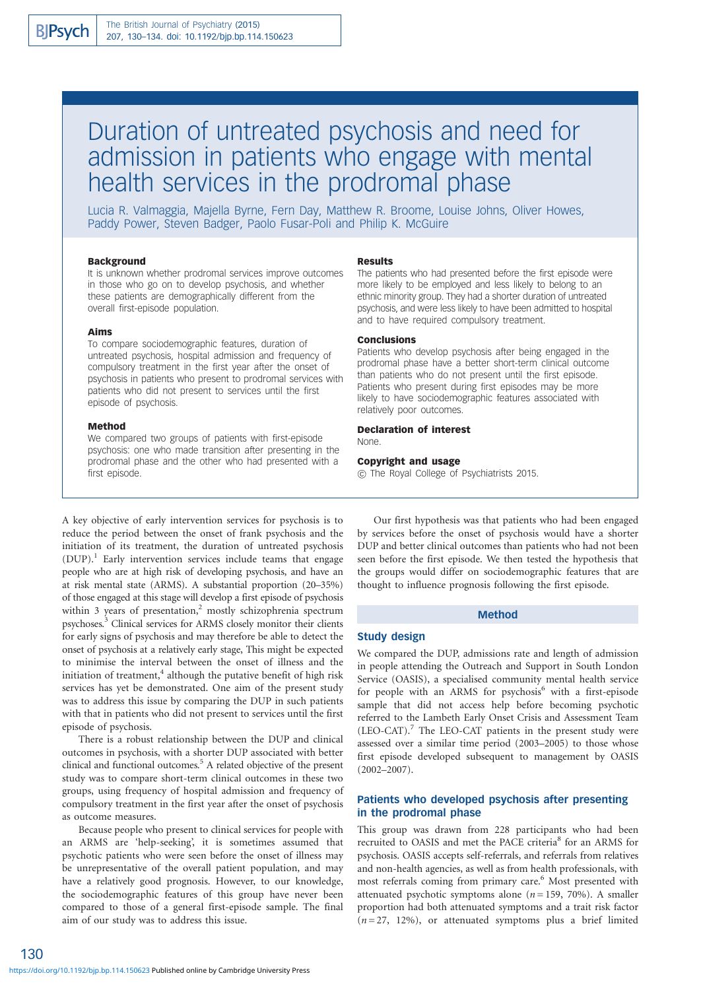# Duration of untreated psychosis and need for admission in patients who engage with mental health services in the prodromal phase

Lucia R. Valmaggia, Majella Byrne, Fern Day, Matthew R. Broome, Louise Johns, Oliver Howes, Paddy Power, Steven Badger, Paolo Fusar-Poli and Philip K. McGuire

## **Background**

It is unknown whether prodromal services improve outcomes in those who go on to develop psychosis, and whether these patients are demographically different from the overall first-episode population.

#### Aims

To compare sociodemographic features, duration of untreated psychosis, hospital admission and frequency of compulsory treatment in the first year after the onset of psychosis in patients who present to prodromal services with patients who did not present to services until the first episode of psychosis.

### Method

We compared two groups of patients with first-episode psychosis: one who made transition after presenting in the prodromal phase and the other who had presented with a first episode.

#### Results

The patients who had presented before the first episode were more likely to be employed and less likely to belong to an ethnic minority group. They had a shorter duration of untreated psychosis, and were less likely to have been admitted to hospital and to have required compulsory treatment.

## Conclusions

Patients who develop psychosis after being engaged in the prodromal phase have a better short-term clinical outcome than patients who do not present until the first episode. Patients who present during first episodes may be more likely to have sociodemographic features associated with relatively poor outcomes.

# Declaration of interest

None.

## Copyright and usage

 $\circled{c}$  The Royal College of Psychiatrists 2015.

A key objective of early intervention services for psychosis is to reduce the period between the onset of frank psychosis and the initiation of its treatment, the duration of untreated psychosis (DUP).<sup>1</sup> Early intervention services include teams that engage people who are at high risk of developing psychosis, and have an at risk mental state (ARMS). A substantial proportion (20–35%) of those engaged at this stage will develop a first episode of psychosis within 3 years of presentation, $2 \text{ mostly schizophrenia spectrum}$ psychoses.3 Clinical services for ARMS closely monitor their clients for early signs of psychosis and may therefore be able to detect the onset of psychosis at a relatively early stage, This might be expected to minimise the interval between the onset of illness and the initiation of treatment,<sup>4</sup> although the putative benefit of high risk services has yet be demonstrated. One aim of the present study was to address this issue by comparing the DUP in such patients with that in patients who did not present to services until the first episode of psychosis.

There is a robust relationship between the DUP and clinical outcomes in psychosis, with a shorter DUP associated with better clinical and functional outcomes.5 A related objective of the present study was to compare short-term clinical outcomes in these two groups, using frequency of hospital admission and frequency of compulsory treatment in the first year after the onset of psychosis as outcome measures.

Because people who present to clinical services for people with an ARMS are 'help-seeking', it is sometimes assumed that psychotic patients who were seen before the onset of illness may be unrepresentative of the overall patient population, and may have a relatively good prognosis. However, to our knowledge, the sociodemographic features of this group have never been compared to those of a general first-episode sample. The final aim of our study was to address this issue.

Our first hypothesis was that patients who had been engaged by services before the onset of psychosis would have a shorter DUP and better clinical outcomes than patients who had not been seen before the first episode. We then tested the hypothesis that the groups would differ on sociodemographic features that are thought to influence prognosis following the first episode.

# Method

## Study design

We compared the DUP, admissions rate and length of admission in people attending the Outreach and Support in South London Service (OASIS), a specialised community mental health service for people with an ARMS for psychosis<sup>6</sup> with a first-episode sample that did not access help before becoming psychotic referred to the Lambeth Early Onset Crisis and Assessment Team (LEO-CAT).7 The LEO-CAT patients in the present study were assessed over a similar time period (2003–2005) to those whose first episode developed subsequent to management by OASIS (2002–2007).

# Patients who developed psychosis after presenting in the prodromal phase

This group was drawn from 228 participants who had been recruited to OASIS and met the PACE criteria<sup>8</sup> for an ARMS for psychosis. OASIS accepts self-referrals, and referrals from relatives and non-health agencies, as well as from health professionals, with most referrals coming from primary care.<sup>6</sup> Most presented with attenuated psychotic symptoms alone ( $n = 159, 70\%$ ). A smaller proportion had both attenuated symptoms and a trait risk factor  $(n=27, 12\%)$ , or attenuated symptoms plus a brief limited

130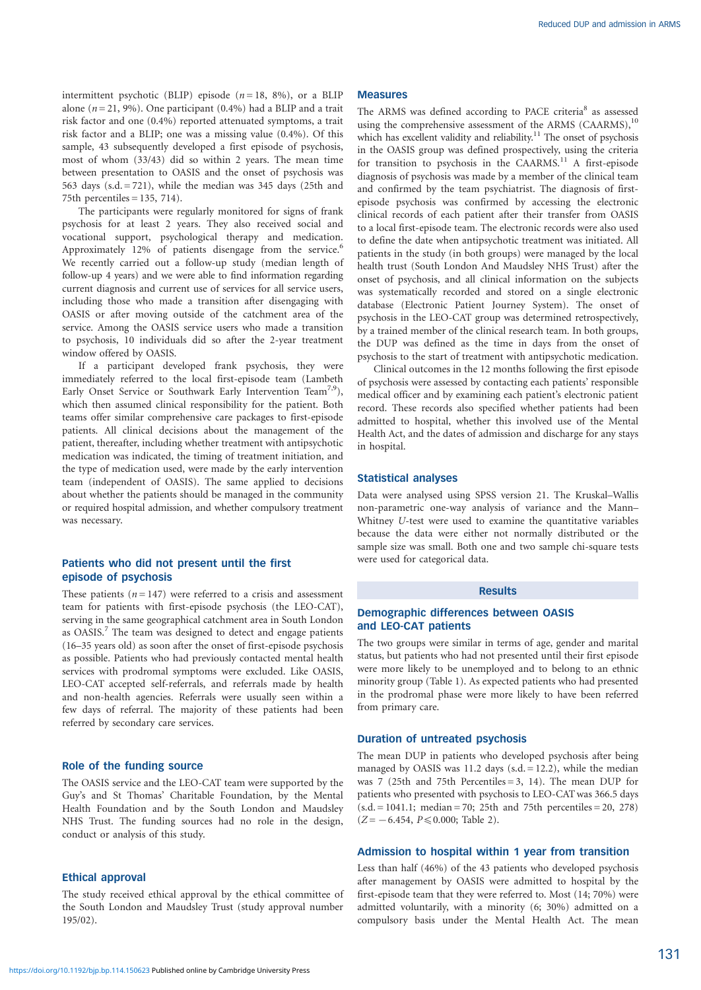intermittent psychotic (BLIP) episode  $(n = 18, 8\%)$ , or a BLIP alone  $(n = 21, 9\%)$ . One participant  $(0.4\%)$  had a BLIP and a trait risk factor and one (0.4%) reported attenuated symptoms, a trait risk factor and a BLIP; one was a missing value (0.4%). Of this sample, 43 subsequently developed a first episode of psychosis, most of whom (33/43) did so within 2 years. The mean time between presentation to OASIS and the onset of psychosis was 563 days (s.d.  $= 721$ ), while the median was 345 days (25th and 75th percentiles = 135, 714).

The participants were regularly monitored for signs of frank psychosis for at least 2 years. They also received social and vocational support, psychological therapy and medication. Approximately 12% of patients disengage from the service.<sup>6</sup> We recently carried out a follow-up study (median length of follow-up 4 years) and we were able to find information regarding current diagnosis and current use of services for all service users, including those who made a transition after disengaging with OASIS or after moving outside of the catchment area of the service. Among the OASIS service users who made a transition to psychosis, 10 individuals did so after the 2-year treatment window offered by OASIS.

If a participant developed frank psychosis, they were immediately referred to the local first-episode team (Lambeth Early Onset Service or Southwark Early Intervention Team<sup>7,9</sup>), which then assumed clinical responsibility for the patient. Both teams offer similar comprehensive care packages to first-episode patients. All clinical decisions about the management of the patient, thereafter, including whether treatment with antipsychotic medication was indicated, the timing of treatment initiation, and the type of medication used, were made by the early intervention team (independent of OASIS). The same applied to decisions about whether the patients should be managed in the community or required hospital admission, and whether compulsory treatment was necessary.

# Patients who did not present until the first episode of psychosis

These patients  $(n = 147)$  were referred to a crisis and assessment team for patients with first-episode psychosis (the LEO-CAT), serving in the same geographical catchment area in South London as OASIS.<sup>7</sup> The team was designed to detect and engage patients (16–35 years old) as soon after the onset of first-episode psychosis as possible. Patients who had previously contacted mental health services with prodromal symptoms were excluded. Like OASIS, LEO-CAT accepted self-referrals, and referrals made by health and non-health agencies. Referrals were usually seen within a few days of referral. The majority of these patients had been referred by secondary care services.

# Role of the funding source

The OASIS service and the LEO-CAT team were supported by the Guy's and St Thomas' Charitable Foundation, by the Mental Health Foundation and by the South London and Maudsley NHS Trust. The funding sources had no role in the design, conduct or analysis of this study.

## Ethical approval

The study received ethical approval by the ethical committee of the South London and Maudsley Trust (study approval number 195/02).

# **Measures**

The ARMS was defined according to PACE criteria<sup>8</sup> as assessed using the comprehensive assessment of the ARMS (CAARMS),<sup>10</sup> which has excellent validity and reliability.<sup>11</sup> The onset of psychosis in the OASIS group was defined prospectively, using the criteria for transition to psychosis in the CAARMS.<sup>11</sup> A first-episode diagnosis of psychosis was made by a member of the clinical team and confirmed by the team psychiatrist. The diagnosis of firstepisode psychosis was confirmed by accessing the electronic clinical records of each patient after their transfer from OASIS to a local first-episode team. The electronic records were also used to define the date when antipsychotic treatment was initiated. All patients in the study (in both groups) were managed by the local health trust (South London And Maudsley NHS Trust) after the onset of psychosis, and all clinical information on the subjects was systematically recorded and stored on a single electronic database (Electronic Patient Journey System). The onset of psychosis in the LEO-CAT group was determined retrospectively, by a trained member of the clinical research team. In both groups, the DUP was defined as the time in days from the onset of psychosis to the start of treatment with antipsychotic medication.

Clinical outcomes in the 12 months following the first episode of psychosis were assessed by contacting each patients' responsible medical officer and by examining each patient's electronic patient record. These records also specified whether patients had been admitted to hospital, whether this involved use of the Mental Health Act, and the dates of admission and discharge for any stays in hospital.

## Statistical analyses

Data were analysed using SPSS version 21. The Kruskal–Wallis non-parametric one-way analysis of variance and the Mann– Whitney U-test were used to examine the quantitative variables because the data were either not normally distributed or the sample size was small. Both one and two sample chi-square tests were used for categorical data.

# Results

# Demographic differences between OASIS and LEO-CAT patients

The two groups were similar in terms of age, gender and marital status, but patients who had not presented until their first episode were more likely to be unemployed and to belong to an ethnic minority group (Table 1). As expected patients who had presented in the prodromal phase were more likely to have been referred from primary care.

## Duration of untreated psychosis

The mean DUP in patients who developed psychosis after being managed by OASIS was  $11.2$  days (s.d.  $= 12.2$ ), while the median was 7 (25th and 75th Percentiles = 3, 14). The mean DUP for patients who presented with psychosis to LEO-CAT was 366.5 days  $(s.d. = 1041.1; median = 70; 25th and 75th percentiles = 20, 278)$  $(Z = -6.454, P \le 0.000;$  Table 2).

## Admission to hospital within 1 year from transition

Less than half (46%) of the 43 patients who developed psychosis after management by OASIS were admitted to hospital by the first-episode team that they were referred to. Most (14; 70%) were admitted voluntarily, with a minority (6; 30%) admitted on a compulsory basis under the Mental Health Act. The mean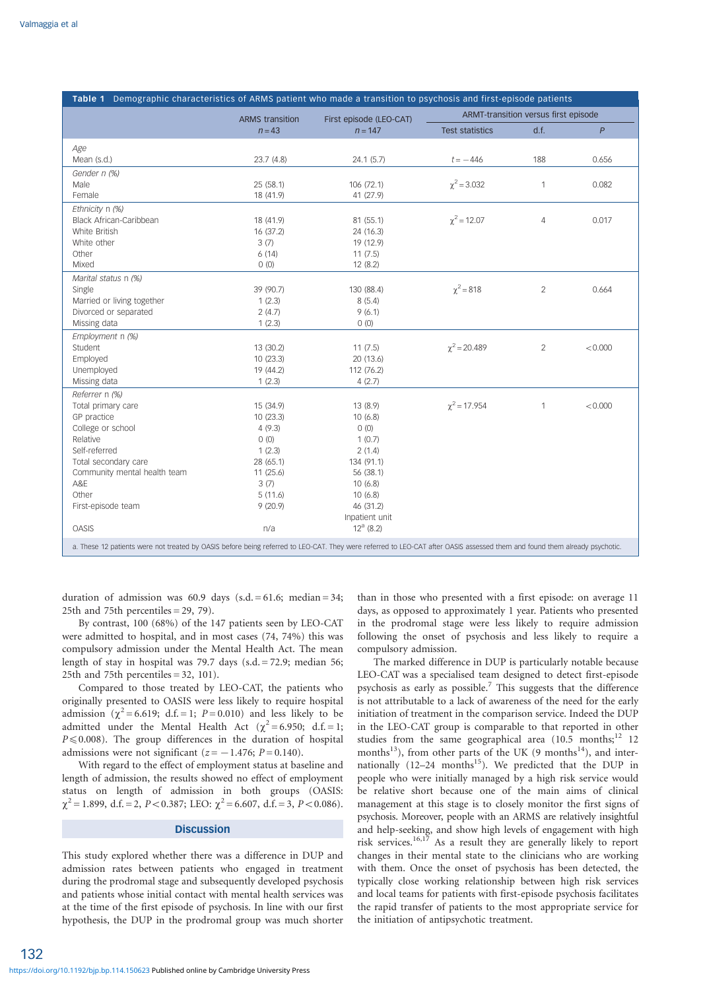| Table 1 Demographic characteristics of ARMS patient who made a transition to psychosis and first-episode patients                                                          |                        |                         |                        |                                      |         |  |  |
|----------------------------------------------------------------------------------------------------------------------------------------------------------------------------|------------------------|-------------------------|------------------------|--------------------------------------|---------|--|--|
|                                                                                                                                                                            | <b>ARMS</b> transition | First episode (LEO-CAT) |                        | ARMT-transition versus first episode |         |  |  |
|                                                                                                                                                                            | $n = 43$               | $n = 147$               | <b>Test statistics</b> | d.f.                                 | P       |  |  |
| Age                                                                                                                                                                        |                        |                         |                        |                                      |         |  |  |
| Mean (s.d.)                                                                                                                                                                | 23.7 (4.8)             | 24.1(5.7)               | $t = -446$             | 188                                  | 0.656   |  |  |
| Gender n (%)                                                                                                                                                               |                        |                         |                        |                                      |         |  |  |
| Male                                                                                                                                                                       | 25 (58.1)              | 106 (72.1)              | $\gamma^2 = 3.032$     | 1                                    | 0.082   |  |  |
| Female                                                                                                                                                                     | 18 (41.9)              | 41 (27.9)               |                        |                                      |         |  |  |
| Ethnicity n (%)                                                                                                                                                            |                        |                         |                        |                                      |         |  |  |
| Black African-Caribbean                                                                                                                                                    | 18 (41.9)              | 81 (55.1)               | $\chi^2$ = 12.07       | 4                                    | 0.017   |  |  |
| White British                                                                                                                                                              | 16 (37.2)              | 24 (16.3)               |                        |                                      |         |  |  |
| White other                                                                                                                                                                | 3(7)                   | 19 (12.9)               |                        |                                      |         |  |  |
| Other                                                                                                                                                                      | 6(14)                  | 11(7.5)                 |                        |                                      |         |  |  |
| Mixed                                                                                                                                                                      | 0(0)                   | 12(8.2)                 |                        |                                      |         |  |  |
| Marital status n (%)                                                                                                                                                       |                        |                         |                        |                                      |         |  |  |
| Single                                                                                                                                                                     | 39 (90.7)              | 130 (88.4)              | $\chi^2 = 818$         | $\mathbf{2}$                         | 0.664   |  |  |
| Married or living together                                                                                                                                                 | 1(2.3)                 | 8(5.4)                  |                        |                                      |         |  |  |
| Divorced or separated                                                                                                                                                      | 2(4.7)                 | 9(6.1)                  |                        |                                      |         |  |  |
| Missing data                                                                                                                                                               | 1(2.3)                 | 0(0)                    |                        |                                      |         |  |  |
| Employment n (%)                                                                                                                                                           |                        |                         |                        |                                      |         |  |  |
| Student                                                                                                                                                                    | 13 (30.2)              | 11(7.5)                 | $\chi^2$ = 20.489      | $\overline{2}$                       | < 0.000 |  |  |
| Employed                                                                                                                                                                   | 10 (23.3)              | 20 (13.6)               |                        |                                      |         |  |  |
| Unemployed                                                                                                                                                                 | 19 (44.2)              | 112 (76.2)              |                        |                                      |         |  |  |
| Missing data                                                                                                                                                               | 1(2.3)                 | 4(2.7)                  |                        |                                      |         |  |  |
| Referrer n (%)                                                                                                                                                             |                        |                         |                        |                                      |         |  |  |
| Total primary care                                                                                                                                                         | 15 (34.9)              | 13 (8.9)                | $\gamma^2$ = 17.954    | $\mathbf{1}$                         | < 0.000 |  |  |
| GP practice                                                                                                                                                                | 10 (23.3)              | 10(6.8)                 |                        |                                      |         |  |  |
| College or school                                                                                                                                                          | 4(9.3)                 | 0(0)                    |                        |                                      |         |  |  |
| Relative                                                                                                                                                                   | 0(0)                   | 1(0.7)                  |                        |                                      |         |  |  |
| Self-referred                                                                                                                                                              | 1(2.3)                 | 2(1.4)                  |                        |                                      |         |  |  |
| Total secondary care                                                                                                                                                       | 28 (65.1)              | 134 (91.1)              |                        |                                      |         |  |  |
| Community mental health team                                                                                                                                               | 11(25.6)               | 56 (38.1)               |                        |                                      |         |  |  |
| A&E                                                                                                                                                                        | 3(7)                   | 10(6.8)                 |                        |                                      |         |  |  |
| Other                                                                                                                                                                      | 5(11.6)                | 10(6.8)                 |                        |                                      |         |  |  |
| First-episode team                                                                                                                                                         | 9(20.9)                | 46 (31.2)               |                        |                                      |         |  |  |
|                                                                                                                                                                            |                        | Inpatient unit          |                        |                                      |         |  |  |
| <b>OASIS</b>                                                                                                                                                               | n/a                    | $12^a$ (8.2)            |                        |                                      |         |  |  |
| a. These 12 patients were not treated by OASIS before being referred to LEO-CAT. They were referred to LEO-CAT after OASIS assessed them and found them already psychotic. |                        |                         |                        |                                      |         |  |  |

duration of admission was  $60.9$  days  $(s.d. = 61.6; median = 34;$ 25th and 75th percentiles  $= 29, 79$ .

By contrast, 100 (68%) of the 147 patients seen by LEO-CAT were admitted to hospital, and in most cases (74, 74%) this was compulsory admission under the Mental Health Act. The mean length of stay in hospital was  $79.7$  days (s.d.  $= 72.9$ ; median 56; 25th and 75th percentiles = 32, 101).

Compared to those treated by LEO-CAT, the patients who originally presented to OASIS were less likely to require hospital admission  $(\chi^2 = 6.619; d.f. = 1; P = 0.010)$  and less likely to be admitted under the Mental Health Act ( $\chi^2 = 6.950$ ; d.f. = 1;  $P \le 0.008$ ). The group differences in the duration of hospital admissions were not significant ( $z = -1.476$ ;  $P = 0.140$ ).

With regard to the effect of employment status at baseline and length of admission, the results showed no effect of employment status on length of admission in both groups (OASIS:  $\chi^2 = 1.899$ , d.f. = 2, P < 0.387; LEO:  $\chi^2 = 6.607$ , d.f. = 3, P < 0.086).

# **Discussion**

This study explored whether there was a difference in DUP and admission rates between patients who engaged in treatment during the prodromal stage and subsequently developed psychosis and patients whose initial contact with mental health services was at the time of the first episode of psychosis. In line with our first hypothesis, the DUP in the prodromal group was much shorter

than in those who presented with a first episode: on average 11 days, as opposed to approximately 1 year. Patients who presented in the prodromal stage were less likely to require admission following the onset of psychosis and less likely to require a compulsory admission.

The marked difference in DUP is particularly notable because LEO-CAT was a specialised team designed to detect first-episode psychosis as early as possible.<sup>7</sup> This suggests that the difference is not attributable to a lack of awareness of the need for the early initiation of treatment in the comparison service. Indeed the DUP in the LEO-CAT group is comparable to that reported in other studies from the same geographical area  $(10.5 \text{ months}; ^{12} 12)$ months<sup>13</sup>), from other parts of the UK (9 months<sup>14</sup>), and internationally  $(12-24$  months<sup>15</sup>). We predicted that the DUP in people who were initially managed by a high risk service would be relative short because one of the main aims of clinical management at this stage is to closely monitor the first signs of psychosis. Moreover, people with an ARMS are relatively insightful and help-seeking, and show high levels of engagement with high risk services.16,17 As a result they are generally likely to report changes in their mental state to the clinicians who are working with them. Once the onset of psychosis has been detected, the typically close working relationship between high risk services and local teams for patients with first-episode psychosis facilitates the rapid transfer of patients to the most appropriate service for the initiation of antipsychotic treatment.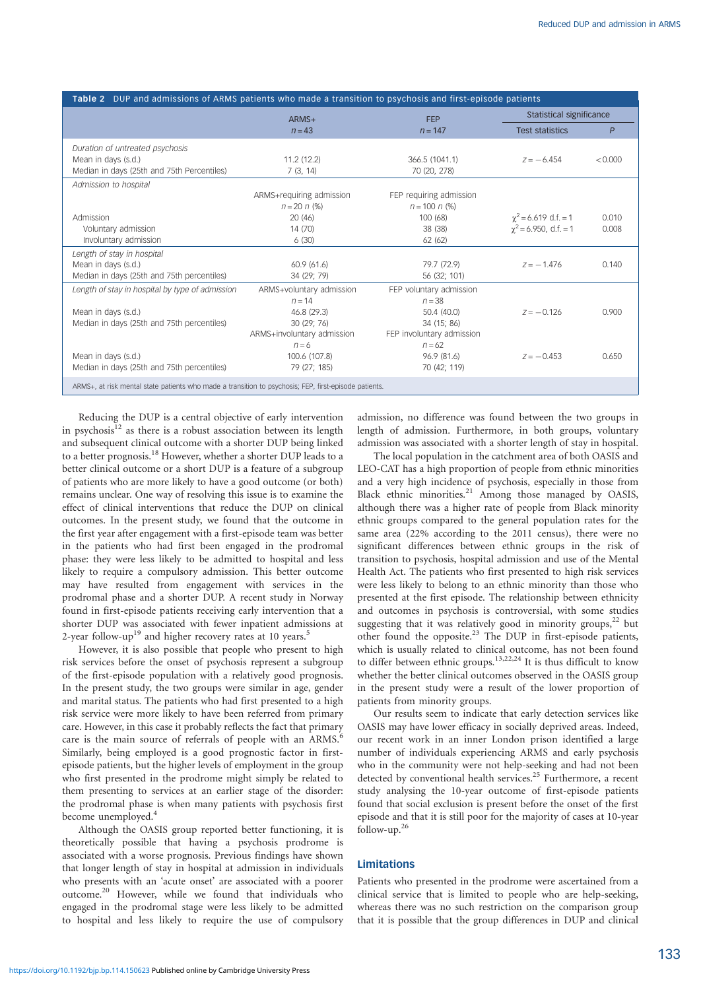| Table 2 DUP and admissions of ARMS patients who made a transition to psychosis and first-episode patients |                            |                           |                                 |         |  |  |  |  |
|-----------------------------------------------------------------------------------------------------------|----------------------------|---------------------------|---------------------------------|---------|--|--|--|--|
|                                                                                                           | ARMS+                      | <b>FEP</b>                | <b>Statistical significance</b> |         |  |  |  |  |
|                                                                                                           | $n = 43$                   | $n = 147$                 | <b>Test statistics</b>          | P       |  |  |  |  |
| Duration of untreated psychosis                                                                           |                            |                           |                                 |         |  |  |  |  |
| Mean in days (s.d.)                                                                                       | 11.2(12.2)                 | 366.5 (1041.1)            | $7 = -6.454$                    | < 0.000 |  |  |  |  |
| Median in days (25th and 75th Percentiles)                                                                | 7(3, 14)                   | 70 (20, 278)              |                                 |         |  |  |  |  |
| Admission to hospital                                                                                     |                            |                           |                                 |         |  |  |  |  |
|                                                                                                           | ARMS+requiring admission   | FEP requiring admission   |                                 |         |  |  |  |  |
|                                                                                                           | $n = 20 n$ (%)             | $n = 100 n$ (%)           |                                 |         |  |  |  |  |
| Admission                                                                                                 | 20(46)                     | 100 (68)                  | $\chi^2$ = 6.619 d.f. = 1       | 0.010   |  |  |  |  |
| Voluntary admission                                                                                       | 14 (70)                    | 38 (38)                   | $\chi^2$ = 6.950, d.f. = 1      | 0.008   |  |  |  |  |
| Involuntary admission                                                                                     | 6(30)                      | 62(62)                    |                                 |         |  |  |  |  |
| Length of stay in hospital                                                                                |                            |                           |                                 |         |  |  |  |  |
| Mean in days (s.d.)                                                                                       | 60.9 (61.6)                | 79.7 (72.9)               | $7 = -1.476$                    | 0.140   |  |  |  |  |
| Median in days (25th and 75th percentiles)                                                                | 34 (29; 79)                | 56 (32; 101)              |                                 |         |  |  |  |  |
| Length of stay in hospital by type of admission                                                           | ARMS+voluntary admission   | FEP voluntary admission   |                                 |         |  |  |  |  |
|                                                                                                           | $n = 14$                   | $n = 38$                  |                                 |         |  |  |  |  |
| Mean in days (s.d.)                                                                                       | 46.8 (29.3)                | 50.4 (40.0)               | $7 = -0.126$                    | 0.900   |  |  |  |  |
| Median in days (25th and 75th percentiles)                                                                | 30 (29; 76)                | 34 (15; 86)               |                                 |         |  |  |  |  |
|                                                                                                           | ARMS+involuntary admission | FEP involuntary admission |                                 |         |  |  |  |  |
|                                                                                                           | $n = 6$                    | $n = 62$                  |                                 |         |  |  |  |  |
| Mean in days (s.d.)                                                                                       | 100.6 (107.8)              | 96.9 (81.6)               | $7 = -0.453$                    | 0.650   |  |  |  |  |
| Median in days (25th and 75th percentiles)                                                                | 79 (27; 185)               | 70 (42; 119)              |                                 |         |  |  |  |  |
| ARMS+, at risk mental state patients who made a transition to psychosis; FEP, first-episode patients.     |                            |                           |                                 |         |  |  |  |  |

Reducing the DUP is a central objective of early intervention in psychosis<sup>12</sup> as there is a robust association between its length and subsequent clinical outcome with a shorter DUP being linked to a better prognosis.<sup>18</sup> However, whether a shorter DUP leads to a better clinical outcome or a short DUP is a feature of a subgroup of patients who are more likely to have a good outcome (or both) remains unclear. One way of resolving this issue is to examine the effect of clinical interventions that reduce the DUP on clinical outcomes. In the present study, we found that the outcome in the first year after engagement with a first-episode team was better in the patients who had first been engaged in the prodromal phase: they were less likely to be admitted to hospital and less likely to require a compulsory admission. This better outcome may have resulted from engagement with services in the prodromal phase and a shorter DUP. A recent study in Norway found in first-episode patients receiving early intervention that a shorter DUP was associated with fewer inpatient admissions at 2-year follow-up<sup>19</sup> and higher recovery rates at 10 years.<sup>5</sup>

However, it is also possible that people who present to high risk services before the onset of psychosis represent a subgroup of the first-episode population with a relatively good prognosis. In the present study, the two groups were similar in age, gender and marital status. The patients who had first presented to a high risk service were more likely to have been referred from primary care. However, in this case it probably reflects the fact that primary care is the main source of referrals of people with an ARMS.<sup>6</sup> Similarly, being employed is a good prognostic factor in firstepisode patients, but the higher levels of employment in the group who first presented in the prodrome might simply be related to them presenting to services at an earlier stage of the disorder: the prodromal phase is when many patients with psychosis first become unemployed.<sup>4</sup>

Although the OASIS group reported better functioning, it is theoretically possible that having a psychosis prodrome is associated with a worse prognosis. Previous findings have shown that longer length of stay in hospital at admission in individuals who presents with an 'acute onset' are associated with a poorer outcome.20 However, while we found that individuals who engaged in the prodromal stage were less likely to be admitted to hospital and less likely to require the use of compulsory

admission, no difference was found between the two groups in length of admission. Furthermore, in both groups, voluntary admission was associated with a shorter length of stay in hospital.

The local population in the catchment area of both OASIS and LEO-CAT has a high proportion of people from ethnic minorities and a very high incidence of psychosis, especially in those from Black ethnic minorities.<sup>21</sup> Among those managed by OASIS, although there was a higher rate of people from Black minority ethnic groups compared to the general population rates for the same area (22% according to the 2011 census), there were no significant differences between ethnic groups in the risk of transition to psychosis, hospital admission and use of the Mental Health Act. The patients who first presented to high risk services were less likely to belong to an ethnic minority than those who presented at the first episode. The relationship between ethnicity and outcomes in psychosis is controversial, with some studies suggesting that it was relatively good in minority groups, $22$  but other found the opposite.23 The DUP in first-episode patients, which is usually related to clinical outcome, has not been found to differ between ethnic groups.<sup>13,22,24</sup> It is thus difficult to know whether the better clinical outcomes observed in the OASIS group in the present study were a result of the lower proportion of patients from minority groups.

Our results seem to indicate that early detection services like OASIS may have lower efficacy in socially deprived areas. Indeed, our recent work in an inner London prison identified a large number of individuals experiencing ARMS and early psychosis who in the community were not help-seeking and had not been detected by conventional health services.<sup>25</sup> Furthermore, a recent study analysing the 10-year outcome of first-episode patients found that social exclusion is present before the onset of the first episode and that it is still poor for the majority of cases at 10-year follow-up.<sup>26</sup>

# Limitations

Patients who presented in the prodrome were ascertained from a clinical service that is limited to people who are help-seeking, whereas there was no such restriction on the comparison group that it is possible that the group differences in DUP and clinical